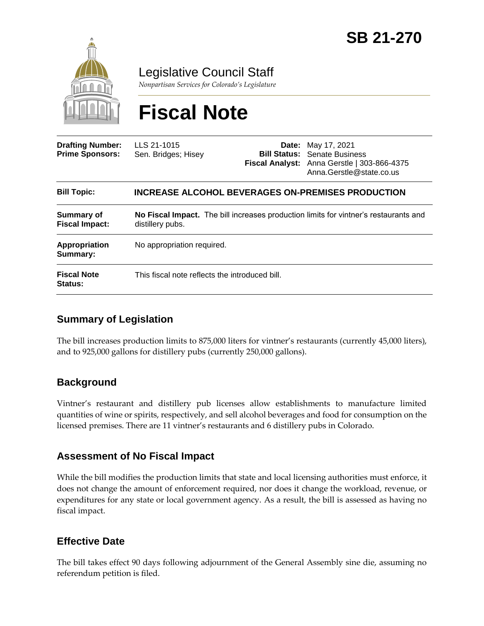

Legislative Council Staff

*Nonpartisan Services for Colorado's Legislature*

# **Fiscal Note**

| <b>Drafting Number:</b><br><b>Prime Sponsors:</b> | LLS 21-1015<br>Sen. Bridges; Hisey                                                                       |  | <b>Date:</b> May 17, 2021<br><b>Bill Status:</b> Senate Business<br>Fiscal Analyst: Anna Gerstle   303-866-4375<br>Anna.Gerstle@state.co.us |
|---------------------------------------------------|----------------------------------------------------------------------------------------------------------|--|---------------------------------------------------------------------------------------------------------------------------------------------|
| <b>Bill Topic:</b>                                | <b>INCREASE ALCOHOL BEVERAGES ON-PREMISES PRODUCTION</b>                                                 |  |                                                                                                                                             |
| <b>Summary of</b><br><b>Fiscal Impact:</b>        | No Fiscal Impact. The bill increases production limits for vintner's restaurants and<br>distillery pubs. |  |                                                                                                                                             |
| Appropriation<br>Summary:                         | No appropriation required.                                                                               |  |                                                                                                                                             |
| <b>Fiscal Note</b><br><b>Status:</b>              | This fiscal note reflects the introduced bill.                                                           |  |                                                                                                                                             |

## **Summary of Legislation**

The bill increases production limits to 875,000 liters for vintner's restaurants (currently 45,000 liters), and to 925,000 gallons for distillery pubs (currently 250,000 gallons).

#### **Background**

Vintner's restaurant and distillery pub licenses allow establishments to manufacture limited quantities of wine or spirits, respectively, and sell alcohol beverages and food for consumption on the licensed premises. There are 11 vintner's restaurants and 6 distillery pubs in Colorado.

#### **Assessment of No Fiscal Impact**

While the bill modifies the production limits that state and local licensing authorities must enforce, it does not change the amount of enforcement required, nor does it change the workload, revenue, or expenditures for any state or local government agency. As a result, the bill is assessed as having no fiscal impact.

#### **Effective Date**

The bill takes effect 90 days following adjournment of the General Assembly sine die, assuming no referendum petition is filed.